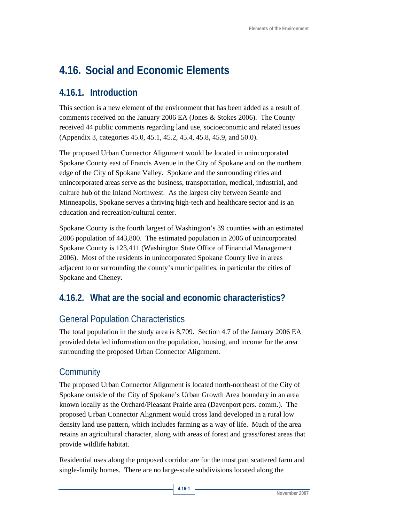# **4.16. Social and Economic Elements**

# **4.16.1. Introduction**

This section is a new element of the environment that has been added as a result of comments received on the January 2006 EA (Jones & Stokes 2006). The County received 44 public comments regarding land use, socioeconomic and related issues (Appendix 3, categories 45.0, 45.1, 45.2, 45.4, 45.8, 45.9, and 50.0).

The proposed Urban Connector Alignment would be located in unincorporated Spokane County east of Francis Avenue in the City of Spokane and on the northern edge of the City of Spokane Valley. Spokane and the surrounding cities and unincorporated areas serve as the business, transportation, medical, industrial, and culture hub of the Inland Northwest. As the largest city between Seattle and Minneapolis, Spokane serves a thriving high-tech and healthcare sector and is an education and recreation/cultural center.

Spokane County is the fourth largest of Washington's 39 counties with an estimated 2006 population of 443,800. The estimated population in 2006 of unincorporated Spokane County is 123,411 (Washington State Office of Financial Management 2006). Most of the residents in unincorporated Spokane County live in areas adjacent to or surrounding the county's municipalities, in particular the cities of Spokane and Cheney.

# **4.16.2. What are the social and economic characteristics?**

# General Population Characteristics

The total population in the study area is 8,709. Section 4.7 of the January 2006 EA provided detailed information on the population, housing, and income for the area surrounding the proposed Urban Connector Alignment.

# **Community**

The proposed Urban Connector Alignment is located north-northeast of the City of Spokane outside of the City of Spokane's Urban Growth Area boundary in an area known locally as the Orchard/Pleasant Prairie area (Davenport pers. comm.). The proposed Urban Connector Alignment would cross land developed in a rural low density land use pattern, which includes farming as a way of life. Much of the area retains an agricultural character, along with areas of forest and grass/forest areas that provide wildlife habitat.

Residential uses along the proposed corridor are for the most part scattered farm and single-family homes. There are no large-scale subdivisions located along the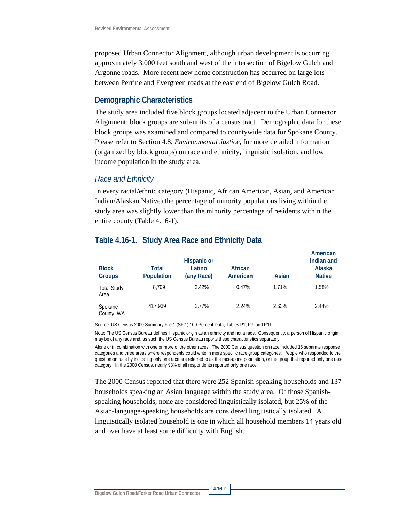proposed Urban Connector Alignment, although urban development is occurring approximately 3,000 feet south and west of the intersection of Bigelow Gulch and Argonne roads. More recent new home construction has occurred on large lots between Perrine and Evergreen roads at the east end of Bigelow Gulch Road.

#### **Demographic Characteristics**

The study area included five block groups located adjacent to the Urban Connector Alignment; block groups are sub-units of a census tract. Demographic data for these block groups was examined and compared to countywide data for Spokane County. Please refer to Section 4.8, *Environmental Justice,* for more detailed information (organized by block groups) on race and ethnicity, linguistic isolation, and low income population in the study area.

#### *Race and Ethnicity*

In every racial/ethnic category (Hispanic, African American, Asian, and American Indian/Alaskan Native) the percentage of minority populations living within the study area was slightly lower than the minority percentage of residents within the entire county (Table 4.16-1).

| <b>Block</b><br><b>Groups</b> | Total<br>Population | <b>Hispanic or</b><br>Latino<br>(any Race) | African<br>American | Asian | American<br>Indian and<br>Alaska<br><b>Native</b> |
|-------------------------------|---------------------|--------------------------------------------|---------------------|-------|---------------------------------------------------|
| <b>Total Study</b><br>Area    | 8.709               | 2.42%                                      | 0.47%               | 1.71% | 1.58%                                             |
| Spokane<br>County, WA         | 417.939             | 2.77%                                      | 2.24%               | 2.63% | 2.44%                                             |

### **Table 4.16-1. Study Area Race and Ethnicity Data**

Source: US Census 2000 Summary File 1 (SF 1) 100-Percent Data, Tables P1, P9, and P11.

Note: The US Census Bureau defines Hispanic origin as an ethnicity and not a race. Consequently, a person of Hispanic origin may be of any race and, as such the US Census Bureau reports these characteristics separately.

Alone or in combination with one or more of the other races. The 2000 Census question on race included 15 separate response categories and three areas where respondents could write in more specific race group categories. People who responded to the question on race by indicating only one race are referred to as the race-alone population, or the group that reported only one race category. In the 2000 Census, nearly 98% of all respondents reported only one race.

The 2000 Census reported that there were 252 Spanish-speaking households and 137 households speaking an Asian language within the study area. Of those Spanishspeaking households, none are considered linguistically isolated, but 25% of the Asian-language-speaking households are considered linguistically isolated. A linguistically isolated household is one in which all household members 14 years old and over have at least some difficulty with English.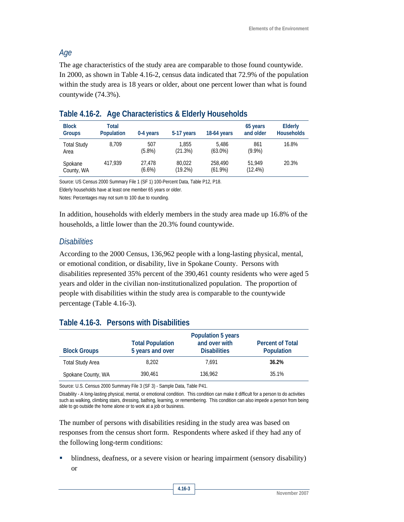### *Age*

The age characteristics of the study area are comparable to those found countywide. In 2000, as shown in Table 4.16-2, census data indicated that 72.9% of the population within the study area is 18 years or older, about one percent lower than what is found countywide (74.3%).

| <b>Block</b><br><b>Groups</b> | Total<br><b>Population</b> | 0-4 years           | 5-17 years           | 18-64 years           | 65 years<br>and older | <b>Elderly</b><br><b>Households</b> |
|-------------------------------|----------------------------|---------------------|----------------------|-----------------------|-----------------------|-------------------------------------|
| <b>Total Study</b><br>Area    | 8.709                      | 507<br>$(5.8\%)$    | 1.855<br>(21.3%)     | 5.486<br>$(63.0\%)$   | 861<br>$(9.9\%)$      | 16.8%                               |
| Spokane<br>County, WA         | 417,939                    | 27.478<br>$(6.6\%)$ | 80.022<br>$(19.2\%)$ | 258,490<br>$(61.9\%)$ | 51.949<br>$(12.4\%)$  | 20.3%                               |

#### **Table 4.16-2. Age Characteristics & Elderly Households**

Source: US Census 2000 Summary File 1 (SF 1) 100-Percent Data, Table P12, P18.

Elderly households have at least one member 65 years or older.

Notes: Percentages may not sum to 100 due to rounding.

In addition, households with elderly members in the study area made up 16.8% of the households, a little lower than the 20.3% found countywide.

### *Disabilities*

According to the 2000 Census, 136,962 people with a long-lasting physical, mental, or emotional condition, or disability, live in Spokane County. Persons with disabilities represented 35% percent of the 390,461 county residents who were aged 5 years and older in the civilian non-institutionalized population. The proportion of people with disabilities within the study area is comparable to the countywide percentage (Table 4.16-3).

## **Table 4.16-3. Persons with Disabilities**

| <b>Block Groups</b>     | <b>Total Population</b><br>5 years and over | Population 5 years<br>and over with<br><b>Disabilities</b> | <b>Percent of Total</b><br>Population |
|-------------------------|---------------------------------------------|------------------------------------------------------------|---------------------------------------|
| <b>Total Study Area</b> | 8.202                                       | 7.691                                                      | 36.2%                                 |
| Spokane County, WA      | 390.461                                     | 136,962                                                    | 35.1%                                 |

Source: U.S. Census 2000 Summary File 3 (SF 3) - Sample Data, Table P41.

Disability - A long-lasting physical, mental, or emotional condition. This condition can make it difficult for a person to do activities such as walking, climbing stairs, dressing, bathing, learning, or remembering. This condition can also impede a person from being able to go outside the home alone or to work at a job or business.

The number of persons with disabilities residing in the study area was based on responses from the census short form. Respondents where asked if they had any of the following long-term conditions:

 blindness, deafness, or a severe vision or hearing impairment (sensory disability) or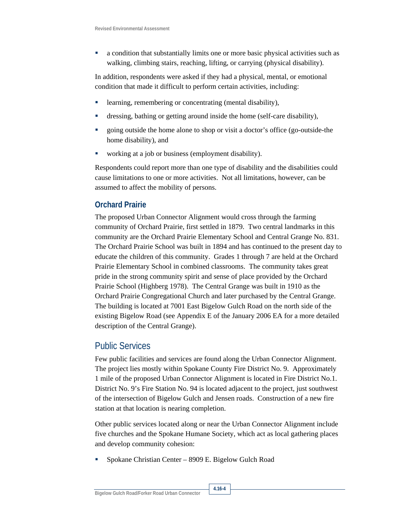a condition that substantially limits one or more basic physical activities such as walking, climbing stairs, reaching, lifting, or carrying (physical disability).

In addition, respondents were asked if they had a physical, mental, or emotional condition that made it difficult to perform certain activities, including:

- **Example 1** learning, remembering or concentrating (mental disability),
- dressing, bathing or getting around inside the home (self-care disability),
- going outside the home alone to shop or visit a doctor's office (go-outside-the home disability), and
- working at a job or business (employment disability).

Respondents could report more than one type of disability and the disabilities could cause limitations to one or more activities. Not all limitations, however, can be assumed to affect the mobility of persons.

### **Orchard Prairie**

The proposed Urban Connector Alignment would cross through the farming community of Orchard Prairie, first settled in 1879. Two central landmarks in this community are the Orchard Prairie Elementary School and Central Grange No. 831. The Orchard Prairie School was built in 1894 and has continued to the present day to educate the children of this community. Grades 1 through 7 are held at the Orchard Prairie Elementary School in combined classrooms. The community takes great pride in the strong community spirit and sense of place provided by the Orchard Prairie School (Highberg 1978). The Central Grange was built in 1910 as the Orchard Prairie Congregational Church and later purchased by the Central Grange. The building is located at 7001 East Bigelow Gulch Road on the north side of the existing Bigelow Road (see Appendix E of the January 2006 EA for a more detailed description of the Central Grange).

## Public Services

Few public facilities and services are found along the Urban Connector Alignment. The project lies mostly within Spokane County Fire District No. 9. Approximately 1 mile of the proposed Urban Connector Alignment is located in Fire District No.1. District No. 9's Fire Station No. 94 is located adjacent to the project, just southwest of the intersection of Bigelow Gulch and Jensen roads. Construction of a new fire station at that location is nearing completion.

Other public services located along or near the Urban Connector Alignment include five churches and the Spokane Humane Society, which act as local gathering places and develop community cohesion:

Spokane Christian Center – 8909 E. Bigelow Gulch Road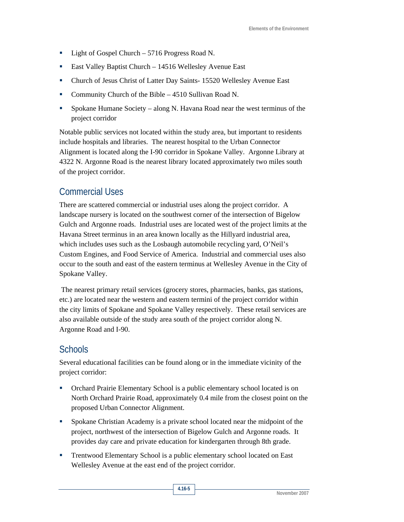- Light of Gospel Church 5716 Progress Road N.
- East Valley Baptist Church 14516 Wellesley Avenue East
- Church of Jesus Christ of Latter Day Saints- 15520 Wellesley Avenue East
- Community Church of the Bible 4510 Sullivan Road N.
- Spokane Humane Society along N. Havana Road near the west terminus of the project corridor

Notable public services not located within the study area, but important to residents include hospitals and libraries. The nearest hospital to the Urban Connector Alignment is located along the I-90 corridor in Spokane Valley. Argonne Library at 4322 N. Argonne Road is the nearest library located approximately two miles south of the project corridor.

# Commercial Uses

There are scattered commercial or industrial uses along the project corridor. A landscape nursery is located on the southwest corner of the intersection of Bigelow Gulch and Argonne roads. Industrial uses are located west of the project limits at the Havana Street terminus in an area known locally as the Hillyard industrial area, which includes uses such as the Losbaugh automobile recycling yard, O'Neil's Custom Engines, and Food Service of America. Industrial and commercial uses also occur to the south and east of the eastern terminus at Wellesley Avenue in the City of Spokane Valley.

 The nearest primary retail services (grocery stores, pharmacies, banks, gas stations, etc.) are located near the western and eastern termini of the project corridor within the city limits of Spokane and Spokane Valley respectively. These retail services are also available outside of the study area south of the project corridor along N. Argonne Road and I-90.

# **Schools**

Several educational facilities can be found along or in the immediate vicinity of the project corridor:

- Orchard Prairie Elementary School is a public elementary school located is on North Orchard Prairie Road, approximately 0.4 mile from the closest point on the proposed Urban Connector Alignment.
- Spokane Christian Academy is a private school located near the midpoint of the project, northwest of the intersection of Bigelow Gulch and Argonne roads. It provides day care and private education for kindergarten through 8th grade.
- Trentwood Elementary School is a public elementary school located on East Wellesley Avenue at the east end of the project corridor.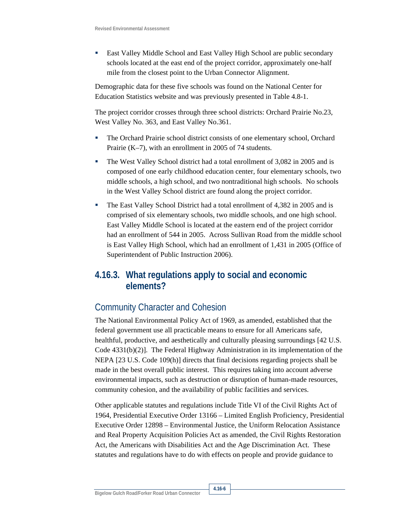East Valley Middle School and East Valley High School are public secondary schools located at the east end of the project corridor, approximately one-half mile from the closest point to the Urban Connector Alignment.

Demographic data for these five schools was found on the National Center for Education Statistics website and was previously presented in Table 4.8-1.

The project corridor crosses through three school districts: Orchard Prairie No.23, West Valley No. 363, and East Valley No.361.

- The Orchard Prairie school district consists of one elementary school, Orchard Prairie (K–7), with an enrollment in 2005 of 74 students.
- The West Valley School district had a total enrollment of 3,082 in 2005 and is composed of one early childhood education center, four elementary schools, two middle schools, a high school, and two nontraditional high schools. No schools in the West Valley School district are found along the project corridor.
- The East Valley School District had a total enrollment of 4,382 in 2005 and is comprised of six elementary schools, two middle schools, and one high school. East Valley Middle School is located at the eastern end of the project corridor had an enrollment of 544 in 2005. Across Sullivan Road from the middle school is East Valley High School, which had an enrollment of 1,431 in 2005 (Office of Superintendent of Public Instruction 2006).

# **4.16.3. What regulations apply to social and economic elements?**

# Community Character and Cohesion

The National Environmental Policy Act of 1969, as amended, established that the federal government use all practicable means to ensure for all Americans safe, healthful, productive, and aesthetically and culturally pleasing surroundings [42 U.S. Code  $4331(b)(2)$ ]. The Federal Highway Administration in its implementation of the NEPA [23 U.S. Code 109(h)] directs that final decisions regarding projects shall be made in the best overall public interest. This requires taking into account adverse environmental impacts, such as destruction or disruption of human-made resources, community cohesion, and the availability of public facilities and services.

Other applicable statutes and regulations include Title VI of the Civil Rights Act of 1964, Presidential Executive Order 13166 – Limited English Proficiency, Presidential Executive Order 12898 – Environmental Justice, the Uniform Relocation Assistance and Real Property Acquisition Policies Act as amended, the Civil Rights Restoration Act, the Americans with Disabilities Act and the Age Discrimination Act. These statutes and regulations have to do with effects on people and provide guidance to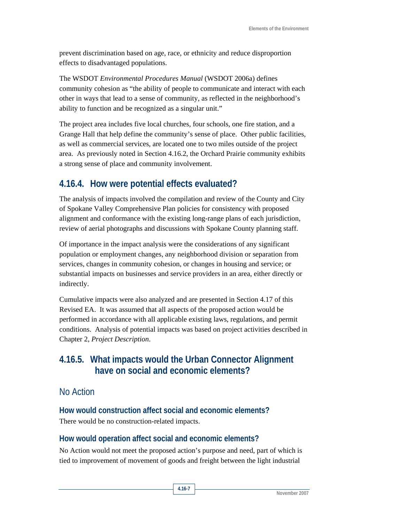prevent discrimination based on age, race, or ethnicity and reduce disproportion effects to disadvantaged populations.

The WSDOT *Environmental Procedures Manual* (WSDOT 2006a) defines community cohesion as "the ability of people to communicate and interact with each other in ways that lead to a sense of community, as reflected in the neighborhood's ability to function and be recognized as a singular unit."

The project area includes five local churches, four schools, one fire station, and a Grange Hall that help define the community's sense of place. Other public facilities, as well as commercial services, are located one to two miles outside of the project area. As previously noted in Section 4.16.2, the Orchard Prairie community exhibits a strong sense of place and community involvement.

# **4.16.4. How were potential effects evaluated?**

The analysis of impacts involved the compilation and review of the County and City of Spokane Valley Comprehensive Plan policies for consistency with proposed alignment and conformance with the existing long-range plans of each jurisdiction, review of aerial photographs and discussions with Spokane County planning staff.

Of importance in the impact analysis were the considerations of any significant population or employment changes, any neighborhood division or separation from services, changes in community cohesion, or changes in housing and service; or substantial impacts on businesses and service providers in an area, either directly or indirectly.

Cumulative impacts were also analyzed and are presented in Section 4.17 of this Revised EA. It was assumed that all aspects of the proposed action would be performed in accordance with all applicable existing laws, regulations, and permit conditions. Analysis of potential impacts was based on project activities described in Chapter 2, *Project Description*.

# **4.16.5. What impacts would the Urban Connector Alignment have on social and economic elements?**

# No Action

**How would construction affect social and economic elements?**  There would be no construction-related impacts.

## **How would operation affect social and economic elements?**

No Action would not meet the proposed action's purpose and need, part of which is tied to improvement of movement of goods and freight between the light industrial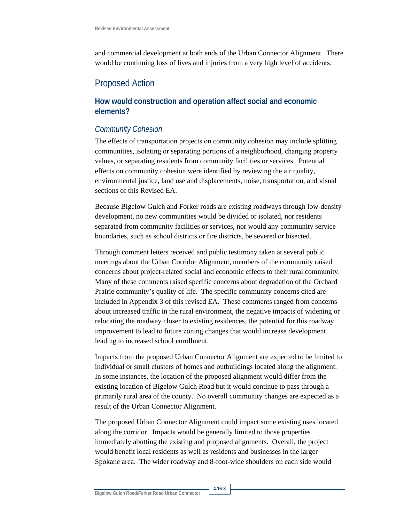and commercial development at both ends of the Urban Connector Alignment. There would be continuing loss of lives and injuries from a very high level of accidents.

# Proposed Action

### **How would construction and operation affect social and economic elements?**

### *Community Cohesion*

The effects of transportation projects on community cohesion may include splitting communities, isolating or separating portions of a neighborhood, changing property values, or separating residents from community facilities or services. Potential effects on community cohesion were identified by reviewing the air quality, environmental justice, land use and displacements, noise, transportation, and visual sections of this Revised EA.

Because Bigelow Gulch and Forker roads are existing roadways through low-density development, no new communities would be divided or isolated, nor residents separated from community facilities or services, nor would any community service boundaries, such as school districts or fire districts, be severed or bisected.

Through comment letters received and public testimony taken at several public meetings about the Urban Corridor Alignment, members of the community raised concerns about project-related social and economic effects to their rural community. Many of these comments raised specific concerns about degradation of the Orchard Prairie community's quality of life. The specific community concerns cited are included in Appendix 3 of this revised EA. These comments ranged from concerns about increased traffic in the rural environment, the negative impacts of widening or relocating the roadway closer to existing residences, the potential for this roadway improvement to lead to future zoning changes that would increase development leading to increased school enrollment.

Impacts from the proposed Urban Connector Alignment are expected to be limited to individual or small clusters of homes and outbuildings located along the alignment. In some instances, the location of the proposed alignment would differ from the existing location of Bigelow Gulch Road but it would continue to pass through a primarily rural area of the county. No overall community changes are expected as a result of the Urban Connector Alignment.

The proposed Urban Connector Alignment could impact some existing uses located along the corridor. Impacts would be generally limited to those properties immediately abutting the existing and proposed alignments. Overall, the project would benefit local residents as well as residents and businesses in the larger Spokane area. The wider roadway and 8-foot-wide shoulders on each side would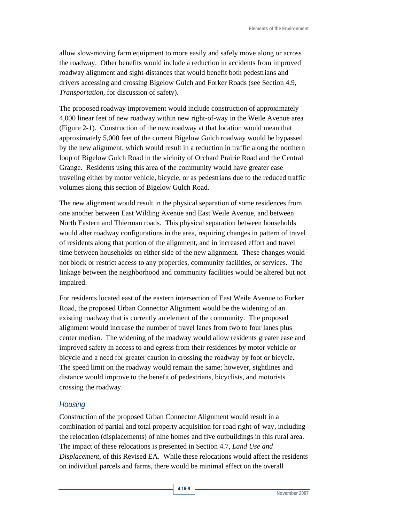allow slow-moving farm equipment to more easily and safely move along or across the roadway. Other benefits would include a reduction in accidents from improved roadway alignment and sight-distances that would benefit both pedestrians and drivers accessing and crossing Bigelow Gulch and Forker Roads (see Section 4.9, *Transportation,* for discussion of safety).

The proposed roadway improvement would include construction of approximately 4,000 linear feet of new roadway within new right-of-way in the Weile Avenue area (Figure 2-1). Construction of the new roadway at that location would mean that approximately 5,000 feet of the current Bigelow Gulch roadway would be bypassed by the new alignment, which would result in a reduction in traffic along the northern loop of Bigelow Gulch Road in the vicinity of Orchard Prairie Road and the Central Grange. Residents using this area of the community would have greater ease traveling either by motor vehicle, bicycle, or as pedestrians due to the reduced traffic volumes along this section of Bigelow Gulch Road.

The new alignment would result in the physical separation of some residences from one another between East Wilding Avenue and East Weile Avenue, and between North Eastern and Thierman roads. This physical separation between households would alter roadway configurations in the area, requiring changes in pattern of travel of residents along that portion of the alignment, and in increased effort and travel time between households on either side of the new alignment. These changes would not block or restrict access to any properties, community facilities, or services. The linkage between the neighborhood and community facilities would be altered but not impaired.

For residents located east of the eastern intersection of East Weile Avenue to Forker Road, the proposed Urban Connector Alignment would be the widening of an existing roadway that is currently an element of the community. The proposed alignment would increase the number of travel lanes from two to four lanes plus center median. The widening of the roadway would allow residents greater ease and improved safety in access to and egress from their residences by motor vehicle or bicycle and a need for greater caution in crossing the roadway by foot or bicycle. The speed limit on the roadway would remain the same; however, sightlines and distance would improve to the benefit of pedestrians, bicyclists, and motorists crossing the roadway.

#### *Housing*

Construction of the proposed Urban Connector Alignment would result in a combination of partial and total property acquisition for road right-of-way, including the relocation (displacements) of nine homes and five outbuildings in this rural area. The impact of these relocations is presented in Section 4.7, *Land Use and Displacement,* of this Revised EA. While these relocations would affect the residents on individual parcels and farms, there would be minimal effect on the overall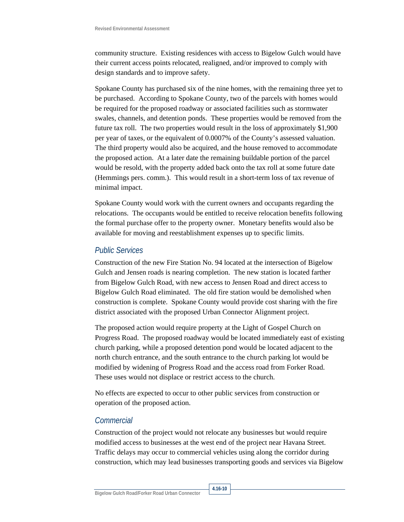community structure. Existing residences with access to Bigelow Gulch would have their current access points relocated, realigned, and/or improved to comply with design standards and to improve safety.

Spokane County has purchased six of the nine homes, with the remaining three yet to be purchased. According to Spokane County, two of the parcels with homes would be required for the proposed roadway or associated facilities such as stormwater swales, channels, and detention ponds. These properties would be removed from the future tax roll. The two properties would result in the loss of approximately \$1,900 per year of taxes, or the equivalent of 0.0007% of the County's assessed valuation. The third property would also be acquired, and the house removed to accommodate the proposed action. At a later date the remaining buildable portion of the parcel would be resold, with the property added back onto the tax roll at some future date (Hemmings pers. comm.). This would result in a short-term loss of tax revenue of minimal impact.

Spokane County would work with the current owners and occupants regarding the relocations. The occupants would be entitled to receive relocation benefits following the formal purchase offer to the property owner. Monetary benefits would also be available for moving and reestablishment expenses up to specific limits.

#### *Public Services*

Construction of the new Fire Station No. 94 located at the intersection of Bigelow Gulch and Jensen roads is nearing completion. The new station is located farther from Bigelow Gulch Road, with new access to Jensen Road and direct access to Bigelow Gulch Road eliminated. The old fire station would be demolished when construction is complete. Spokane County would provide cost sharing with the fire district associated with the proposed Urban Connector Alignment project.

The proposed action would require property at the Light of Gospel Church on Progress Road. The proposed roadway would be located immediately east of existing church parking, while a proposed detention pond would be located adjacent to the north church entrance, and the south entrance to the church parking lot would be modified by widening of Progress Road and the access road from Forker Road. These uses would not displace or restrict access to the church.

No effects are expected to occur to other public services from construction or operation of the proposed action.

#### *Commercial*

Construction of the project would not relocate any businesses but would require modified access to businesses at the west end of the project near Havana Street. Traffic delays may occur to commercial vehicles using along the corridor during construction, which may lead businesses transporting goods and services via Bigelow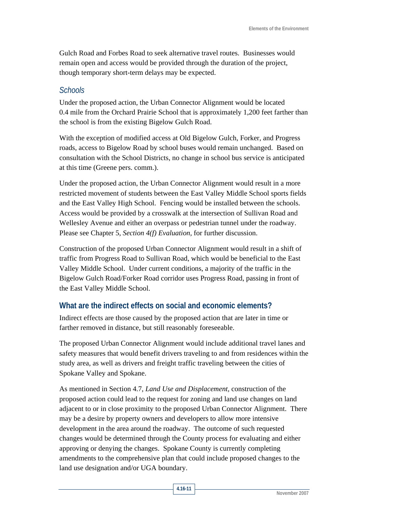Gulch Road and Forbes Road to seek alternative travel routes. Businesses would remain open and access would be provided through the duration of the project, though temporary short-term delays may be expected.

### *Schools*

Under the proposed action, the Urban Connector Alignment would be located 0.4 mile from the Orchard Prairie School that is approximately 1,200 feet farther than the school is from the existing Bigelow Gulch Road.

With the exception of modified access at Old Bigelow Gulch, Forker, and Progress roads, access to Bigelow Road by school buses would remain unchanged. Based on consultation with the School Districts, no change in school bus service is anticipated at this time (Greene pers. comm.).

Under the proposed action, the Urban Connector Alignment would result in a more restricted movement of students between the East Valley Middle School sports fields and the East Valley High School. Fencing would be installed between the schools. Access would be provided by a crosswalk at the intersection of Sullivan Road and Wellesley Avenue and either an overpass or pedestrian tunnel under the roadway. Please see Chapter 5, *Section 4(f) Evaluation,* for further discussion.

Construction of the proposed Urban Connector Alignment would result in a shift of traffic from Progress Road to Sullivan Road, which would be beneficial to the East Valley Middle School. Under current conditions, a majority of the traffic in the Bigelow Gulch Road/Forker Road corridor uses Progress Road, passing in front of the East Valley Middle School.

## **What are the indirect effects on social and economic elements?**

Indirect effects are those caused by the proposed action that are later in time or farther removed in distance, but still reasonably foreseeable.

The proposed Urban Connector Alignment would include additional travel lanes and safety measures that would benefit drivers traveling to and from residences within the study area, as well as drivers and freight traffic traveling between the cities of Spokane Valley and Spokane.

As mentioned in Section 4.7, *Land Use and Displacement,* construction of the proposed action could lead to the request for zoning and land use changes on land adjacent to or in close proximity to the proposed Urban Connector Alignment. There may be a desire by property owners and developers to allow more intensive development in the area around the roadway. The outcome of such requested changes would be determined through the County process for evaluating and either approving or denying the changes. Spokane County is currently completing amendments to the comprehensive plan that could include proposed changes to the land use designation and/or UGA boundary.